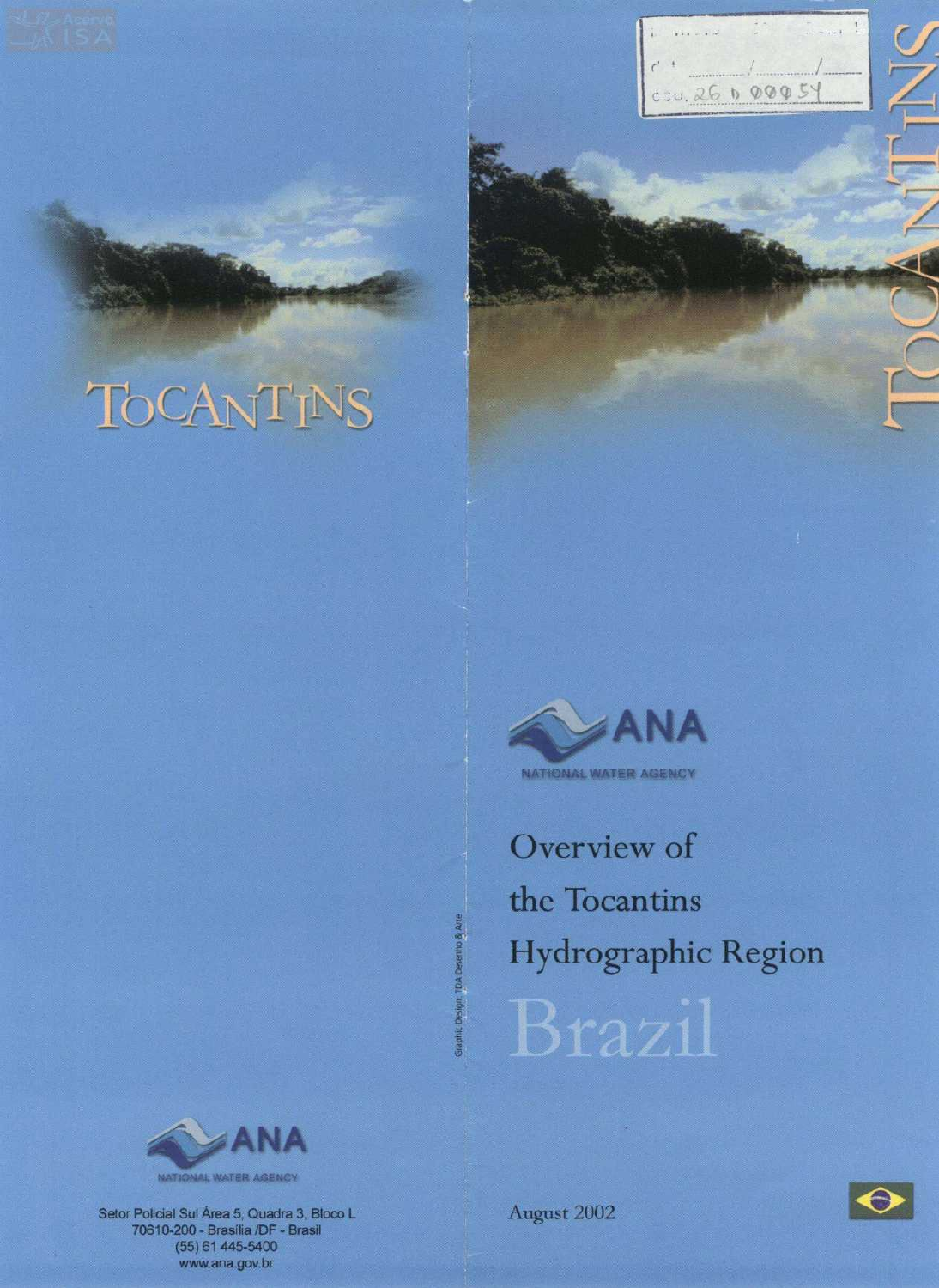# TOCANTINS

Graphic Design: TDA





**NATIONAL WATER AGENCY** 

**Overview of the Tocantins**  f **Hydrographic Region**  Brazil



Setor Policial Sul Área 5, Quadra 3, Bloco L 70610-200 - Brasília /DF - Brasil (55)-61 445-5400 www.ana.gov.br

August 2002

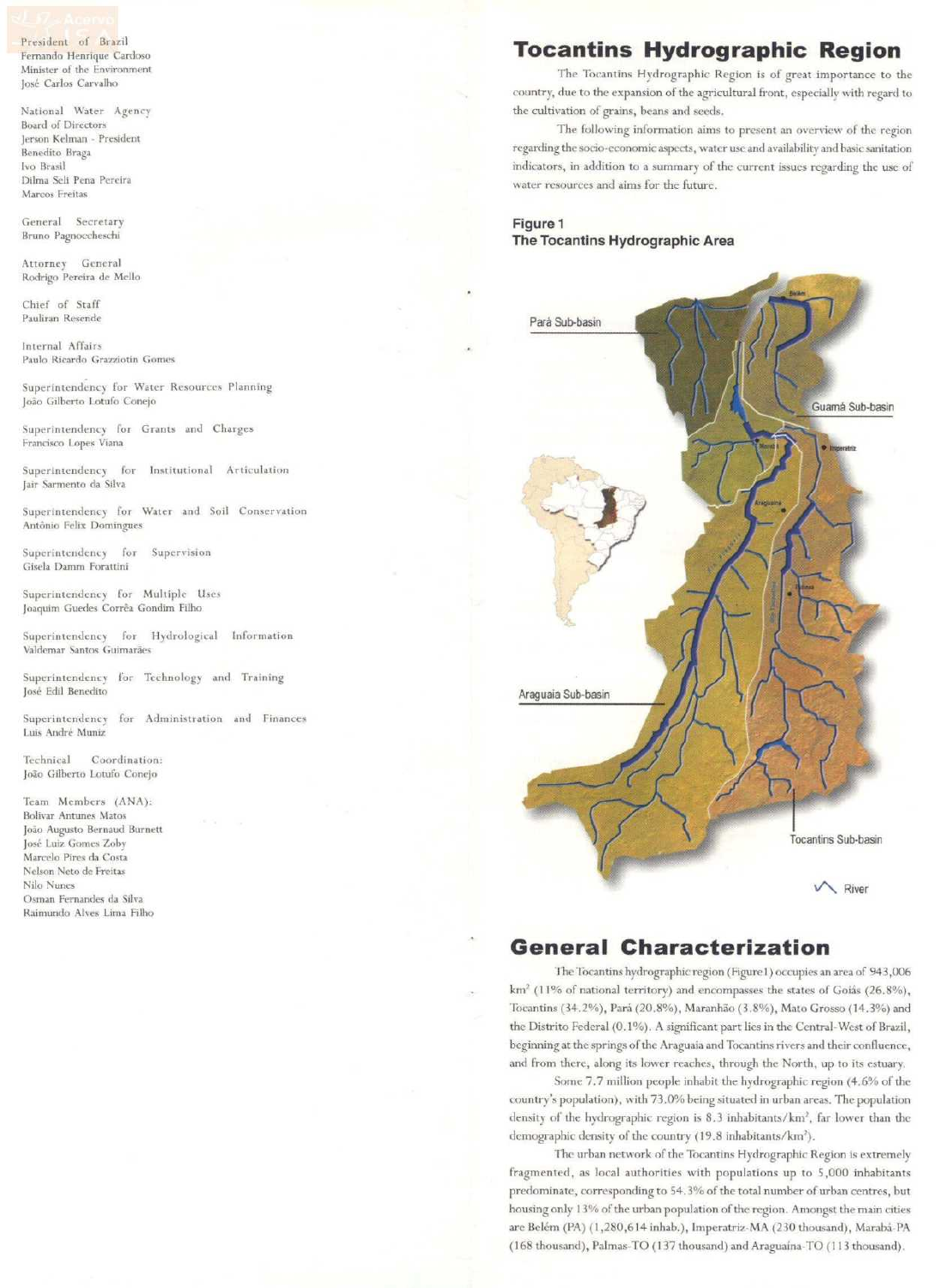President of Brazil Fernando Henrique Cardoso Mínister **of** the Environment José Carlos Carvalho

National Water Agency Board of Directors [erson Kelman - President Benedito Braga Ivo Brasil Dilma Seli Pena Pereira **Marcos Freitas** 

General Secretary **Bruno Pagnoccheschi** 

Attorney General Rodrigo Pereira de Mello

Chief of Staff Pauliran Resende

Internai Affairs **Paulo Ricardo** Grazziottn **Gomes** 

Superintendency for Water Resources Planning João Gilberto Lotufo Conejo

Superintendency for Grants and Charges **Francisco Lopes Viana** 

Superintendency for Institutional Articulation Jair Sarmento da Silva

Superintendency for Water and Soil Conservation **Antônio Felix Domingues** 

Superintendency for Supervision **Gisela Damm Forattini** 

Superintendency for Multiple Uses Joaquim Guedes Corrêa Gondim Filho

Superintendency for Hydrological Information Valdemar Santos Guimarães

Superintendency for Tcchnology and Training José Edil Benedito

Superintendency for Administration and Finances Luis André Muniz

Technical Coordination: João Gilberto Lotufo Conejo

Team Members (ANA): Bolivar Antunes **Matos**  João Augusto Bernaud Burnett José Luiz Gomes Zoby Marcelo Pires da Costa Nelson Neto de Freitas **Nilo Nunes**  Osman Fernandes da Silva Raimundo Alves Lima Filho

### **Tocantins Hydrographic Region**

The Tocantins Hydrographic Region is of great importance to the country, due to the expansion of the agricultural front, especially with regard to the cultivation of grains, beans and seeds.

The following information aims to present an overview of the region regarding the socio-economic aspects, water use and availability and basic sanitation indicators, in addition to a summary of the current issues regarding the use of water resources and aims for the future.

### **Figure 1 The Tocantins Hydrographic Area**



### **General Characterization**

The Tocantins hydrographic region (Figure 1) occupies an area of 943,006  $km<sup>2</sup>$  (11% of national territory) and encompasses the states of Goiás (26.8%), Tocantins (34.2%), Pará (20.8%), Maranhão (3.8%), Mato Grosso (14.3%) anel the Distrito Federal (0.1%). A significant part lies in the Central-West of Brazil, beginning at the springs of the Araguaia and Tocantins rivers and their confluence, and from there, along its lower reaches, through the North, up to its estuary.

Some 7.7 million people inhabit the hydrographic region (4.6% of the country's population), wíth 73.0% being situated in urban arcas. Thc population density of the hydrographic region is 8.3 inhabitants/km<sup>2</sup>, far lower than the demographic density of the country (19.8 inhabitants/km<sup>2</sup>).

The urban network of the Tocantins Hydrographic Region is extremely fragmented, as local authorities with populations up to 5,000 inhabitants predominate, corresponding to 54.3% of the total number of urban centres, but housing only 13% of the urban population of thc region. Amongst thc main cities are Belém (PA) (1,280,614 inhab.), Imperatriz-MA (230 thousand), Marabá-PA (168 thousand), Palmas-TO (137 thousand) anel Araguaína-TO (1 I 3 thousand),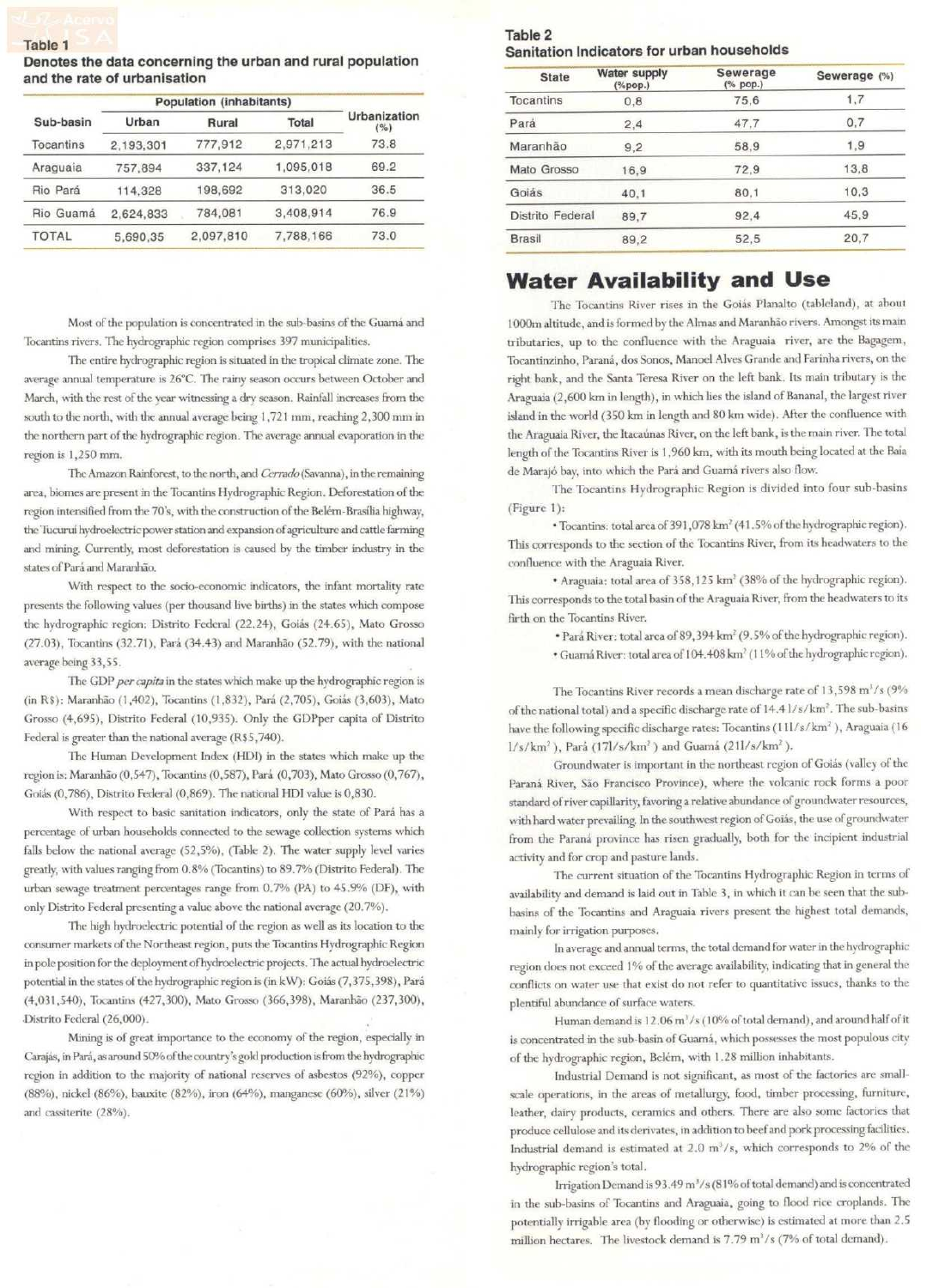**Denotes the data concerning the urban and rural population and the rate of urbanisation** 

|              | <b>Population (inhabitants)</b> |           |           |                     |  |  |
|--------------|---------------------------------|-----------|-----------|---------------------|--|--|
| Sub-basin    | Urban                           | Rural     | Total     | Urbanization<br>(%) |  |  |
| Tocantins    | 2,193,301                       | 777,912   | 2,971,213 | 73.8                |  |  |
| Araguaia     | 757,894                         | 337,124   | 1,095,018 | 69.2                |  |  |
| Rio Pará     | 114,328                         | 198,692   | 313,020   | 36.5                |  |  |
| Rio Guamá    | 2.624.833                       | 784.081   | 3,408,914 | 76.9                |  |  |
| <b>TOTAL</b> | 5,690,35                        | 2,097,810 | 7.788.166 | 73.0                |  |  |

Most of the population is concentrated in the sub-basins of the Guamá and Tocantins rivers, The hydrographic region comprises 397 municipalities.

The entire hydrographic region is situated in the tropical climate zone. The average annual temperature is 26°C. The rainy season occurs between October and March, with the rest of the year witnessing a dry season. Rainfall increases from the south to the north, with the annual average being 1 , 72 1 mm, reaching 2,300 mm in the northern part of the hydrographic region. The average annual evaporation in the region is 1,250 mm.

The Amazon Rainforest, to the north, and Cerrado (Savanna), in the remaining area, biornes are present in the Tocantins Hydrographic Region. Deforestation of the region intcnsiíied from thc 70's, with the construction of the Belém-Brasília highway, the Tucuruí hydroelectric power station and expansion of agriculture and cattle farming and mining. Currently, most deforestation is caused by the timber industry in the states of Pará and Maranhão.

With respect to the socio-economic indicators, the infant mortality rate presents the following values (per thousand live births) in the states which compose the hydrographic region: Distrito Federal (22.24), Goiás (24.65), Mato Grosso (27.03), Tocantins (32.71), Pará (34.43) anel Maranhão (52.79), with thc national average being 33,55.

The GDP *per capita* in the states which make up the hydrographic region is (in RS): Maranhão (1,402), Tocantins (1,832), Pará (2,705), Goiás (3,603), Mato Grosso (4,695), Distrito Federal (10,935). Only the GDPper capita of Distrito Federal is greater than the national averagc (RS5, 740).

The Human Development Index (HDI) in the states which make up the region is: Maranhão (0,547), Tocantins (0,587), Pará (0,703), Mato Grosso (0,767), Goiás (0,786), Distrito Federal (0,869). The national HDI value is 0,830.

With respect to basic sanitation indicators, only the state of Pará has a percentage of urban households connected to the sewage collection systems which falls below the national average  $(52,5%)$ , (Table 2). The water supply level varies greatly, with values ranging from 0.8% (Tocantins) to 89.7% (Distrito Federal). Thc urban sewage treatrnent percentages range from 0.7% (PA) to 45.9% (DF), with only Distrito Federal presenting a value above the national average (20.7%).

The high hydroelectric potential of the region as well as its location to the consumer markets of the Northeast region, puts the Tocantins Hydrographic Region in pole position for the deployment of hydroelectric projects. The actual hydroelectric potential in thc states of the hydrographic region is (in kW): Goiás (7,375,398), Pará (4,031,540), Tocantins (427,300), Mato Grosso (366,398), Maranhão (237,300), Distrito Federal (26,000).

Mining is of great importance to the economy of the region, especially in Carajás, in Pará, as around 50% of the country's gold production is from the hydrographic region in addition to the majority of national reserves of asbestos (92%), copper (88%), nickel (86%), bauxite (82%), iron (64%), mangancse (60%), silver (21%) and cassiterite (28%).

### **Table 2 Sanitation lndicators for urban households**

| <b>State</b>     | <b>Water supply</b><br>$(% \mathcal{L}_{0}^{\infty})$ | Sewerage<br>(% pop.) | Sewerage (%) |  |  |
|------------------|-------------------------------------------------------|----------------------|--------------|--|--|
| Tocantins        | 0, 8                                                  | 75.6                 | 1,7          |  |  |
| Pará             | 2,4                                                   | 47,7                 | 0,7          |  |  |
| Maranhão         | 9,2                                                   | 58,9                 | 1,9          |  |  |
| Mato Grosso      | 16.9                                                  | 72,9                 | 13.8         |  |  |
| Goiás            | 40.1                                                  | 80,1                 | 10,3         |  |  |
| Distrito Federal | 89.7                                                  | 92.4                 | 45.9         |  |  |
| <b>Brasil</b>    | 89.2                                                  |                      | 20,7         |  |  |
|                  |                                                       |                      |              |  |  |

### **Water Availability and Use**

The Tocantins River rises in the Goiás Planalto (tableland), at about 1 OOOm altitude, and is formed by thc Almas and Maranhão rivers. Amongst its main tributaries, up to the conlluence with the Araguaia ríver, are the Bagagem, Tocantinzinho, Paraná, dos Sonos, Manoel Alves Grande and Farinha rivers, on the rigbt bank, and the Santa Teresa River on the left bank. lts main tributary is the Araguaia (2,600 km in length), in which lies thc ísland of Bananal, the largest river island in the world (350 km in length and 80 km wide). After the confluence with the Araguaia River, the Itacaúnas River, on the left bank, is the main river. The total length of the Tocantins River is 1,960 km, with its mouth being located at tbe Baía de Marajó bay, into which the Pará and Guamá rivers also flow.

The Tocantins Hydrographic Region is divided into four sub-basins (Figure 1):

• Tocantins: total arca of391,078 km' (41.5% of thc hydrographic region). This corresponds to the section of thc Tocantins River, from its headwaters to the confluence with the Araguaia River,

• Araguaia: total area of 358,125 km<sup>2</sup> (38% of the hydrographic region). This corresponda to the total basin of the Araguaia River, from the heaclwaters to its firth on the Tocantins River,

> • Pará River: total area of89,394 km' (9.5% of the hydrographic region). • Guamá River: total area of 104.408 km' (11 % ofthehydrographic region).

The Tocantins River records a mean discharge rate of  $13,598$  m<sup>1</sup>/s ( $9\%$ of the national total) and a specific discharge rate of 14.41/s/km<sup>2</sup>. The sub-basins have the following specific discharge rates: Tocantins (11l/s/km<sup>2</sup>), Araguaia (16 l/s/km2 ), Pará (171/s/km2) and Guamá (211/s/km' ).

Groundwater is important in the northeast rcgion of Goiás (valley of the Paraná River, São Francisco Province), where the volcanic rock forms a poor standard of river capillarity, favoring a relative abundance of groundwater resources, with hard water prevailing. In the southwest region of Goiás, the use of groundwater from the Paraná province has risen gradually, both for the incipient industrial activity and for crop and pasture lands.

The current situation of the Tocantins Hydrographic Region in terms of availability and demand is laid out in Table 3, in which it can be seen that the subbasins of the Tocantins and Araguaia rivers present the highest total demands, mainly for irrigation purposcs.

In average and annual terms, the total demand for water in the hydrographic region does not exceed 1% of the average availability, indicating that in general the conllicts on water use that exist do not refer to quantitativc issues, thanks to the plentiful abundance of surface waters.

Human demand is  $12.06 \,\mathrm{m}^3/\mathrm{s}$  (10% of total demand), and around half of it is concentrated in the sub-basin of Guamá, which possesscs the most populous city of the hydrographic region, Belém, with 1.28 million inhabitants.

Industrial Demand is not significant, as most of the factories are smallscale operations, in the areas of metallurgy, food, timber processing, furniture, leather, dairy products, ccramics and others. There are also some factories that produce cellulose and its derivates, in addition to beef and pork processing facilities. Industrial demand is estimated at  $2.0 \text{ m}^3/\text{s}$ , which corresponds to 2% of the hydrographic region's total.

lrrigation Demand is 93.49 m<sup>3</sup>/s (81% of total demand) and is concentrated in the sub-basins of Tocantins and Araguaia, going to flood rice croplands. The potentially irrigable area (by flooding or otherwise) is estimated at more than 2.5 million hectares. The livestock demand is 7.79 m<sup>3</sup>/s (7% of total demand).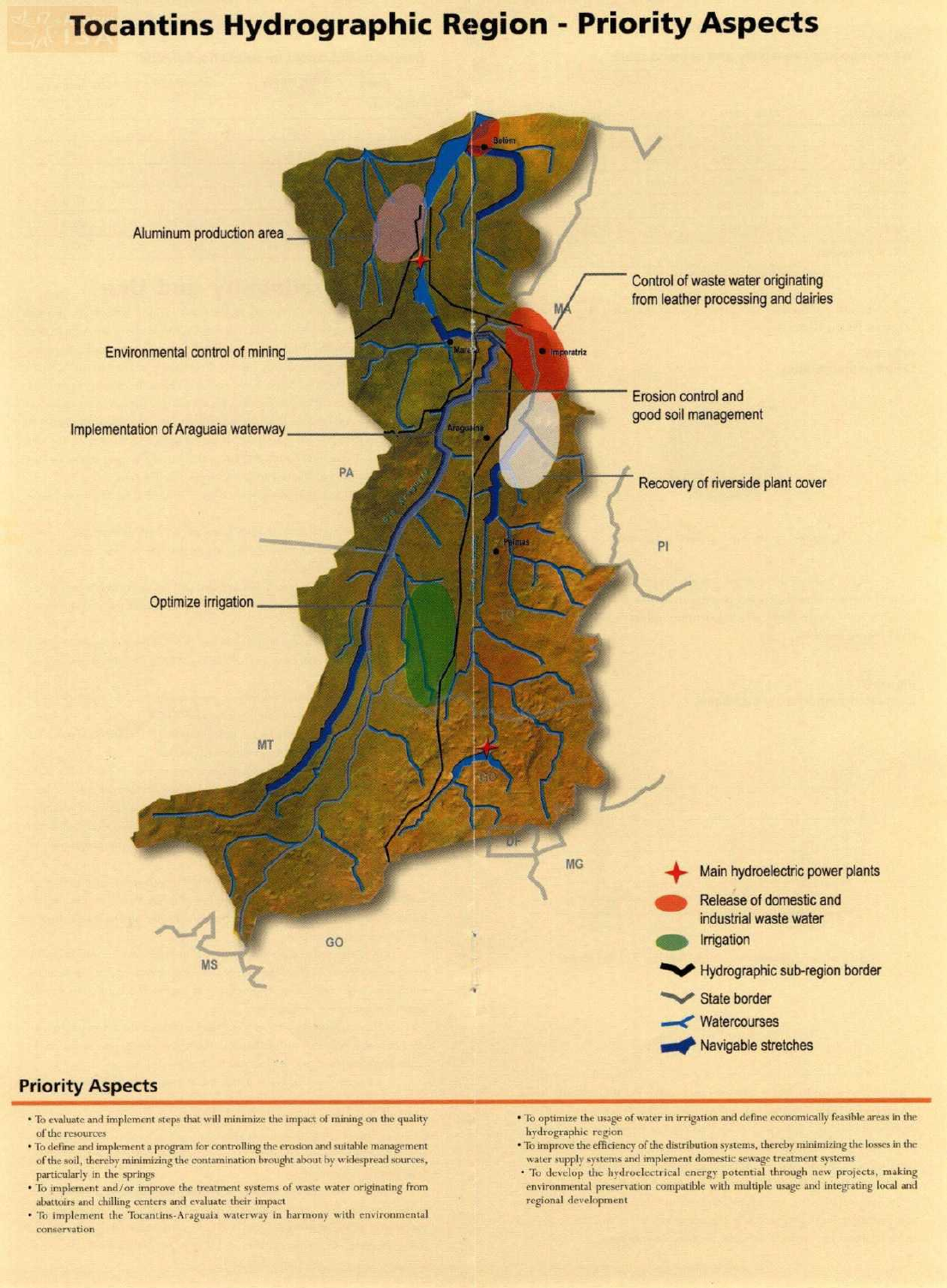## **Tocantins Hydrographic Region - Priority Aspects**



### **Priority Aspects**

- To evaluate and implement steps that will minimize the impact of mining on the quality **of** the **rcsources**
- To define and implement a program for controlling the erosion and suitable management of the soil, thereby minimlzing the contaminatíon brought about by widespread sources, particularly in the springs
- To implement and/or improve the treatment systems of waste water originating from abattoirs and chilling centers and evaluate their impact
- **To implement the Tocantins-Araguaia waterway in harmony with environmental conservation**
- To optimize the usage of water in irrigation and define economically feasible areas in the hydrographic region
- To improve the efficiency of the distribution systems, thereby minimizing the losses in the **watcr supply systems and implement domestic sewage treatment systems**
- To develop the hydroelectrical energy potential through new projects, making environmental preservation compatible with multiple usage and integrating local and regional developrnent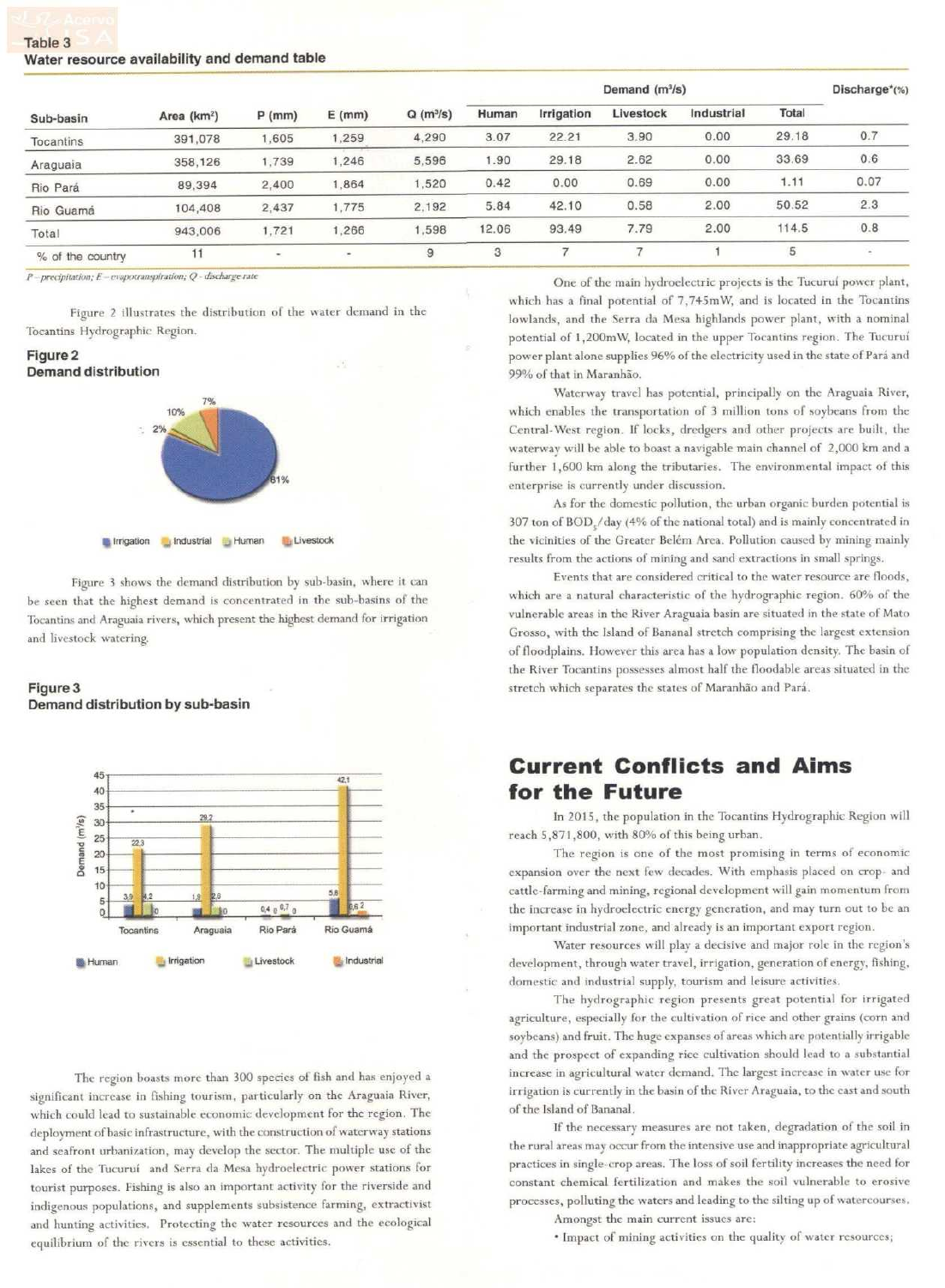### **Table 3 Water resource availability and demand table**

| Sub-basin        | Area (km <sup>2</sup> ) | $P$ (mm)              | $E$ (mm) | $Q(m^3/s)$ | Demand $(m^3/s)$ |            |           |            | Discharge <sup>*</sup> (%) |                          |
|------------------|-------------------------|-----------------------|----------|------------|------------------|------------|-----------|------------|----------------------------|--------------------------|
|                  |                         |                       |          |            | Human            | Irrigation | Livestock | Industrial | Total                      |                          |
| Tocantins        | 391,078                 | 1,605                 | 1,259    | 4,290      | 3.07             | 22.21      | 3.90      | 0.00       | 29.18                      | 0.7                      |
| Araguaia         | 358,126                 | 1,739                 | 1,246    | 5.596      | 1.90             | 29.18      | 2.62      | 0.00       | 33.69                      | 0.6                      |
| Rio Pará         | 89,394                  | 2,400                 | 1,864    | 1,520      | 0.42             | 0.00       | 0.69      | 0.00       | 1.11                       | 0.07                     |
| Rio Guamá        | 104,408                 | 2.437                 | 1,775    | 2,192      | 5.84             | 42.10      | 0.58      | 2.00       | 50.52                      | 2.3                      |
| Total            | 943,006                 | 1,721                 | .266     | 1,598      | 12.06            | 93.49      | 7.79      | 2.00       | 114.5                      | 0.8                      |
| % of the country | 11                      | $\tilde{\phantom{a}}$ | ٠        | 9          | 3                |            |           |            | 5                          | $\overline{\phantom{a}}$ |

*P* - precipitation; *E* - evapotranspiration; *Q* - discharge rate

Figure 2 illustrates the distribution of the water demand in the Tocantins Hydrographic Region.

### **Figure2 Demand distribution**



Figure 3 shows the dcmand distribution by sub-basin, where it can be secn that the highest demand is concentrated in the sub-basins of thc Tocantins and Araguaia rivers, which present the highest demand for irrigation and livestock watering.

### **Figure3 Demand distribution by sub-basin**



The region boasts more than 300 species of fish and has enjoycd a significant increase in fishing tourism, particularly on the Araguaia River, which could lead to sustainable economic development for the region. The deployment of basic infrastructure, with the construction of waterway stations and seafront urbanization, may develop thc sector. The multiple use of the lakes of the Tucuruí and Serra da Mesa hydroelectric power stations for tourist purposes. Fishing is also an important activity for the riverside and indigenous populations, and supplements subsistence farming, extractivist and hunting activities. Protecting the water rcsources and the ecological equilibrium of thc rivers is esscntial to these activities.

One of the main hydroelectric projects is the Tucuruí power plant, which has a final potential of 7, 745m W, and is located in the Tocantins lowlands, and the Serra da Mesa highlands power plant, with a nominal potential of 1,200mW, located in the upper Tocantins region. The Tucuruí power plant alone supplies 96% of the electriciry used in the state of Pará and 99% of that in Maranhão.

Waterway travel has potential, principally on the Araguaia River, which enables the transportation of 3 million tons of soybeans from the Central-West region. If locks, dredgers and other projects are built, the waterway will be able to boast a navigable main channcl of 2,000 km anda further 1,600 km along the tributaries. The environmental impact of this enterprise is currently under discussion.

As for the domestic pollution, the urban organic burden potential is 307 ton of BOD /day (4% of the national total) and is mainly concentrated in the vicinities of the Greater Belém Area. Pollution caused by mining mainly results from the actions of mining and sand extractions in small springs.

Events that are considered critical to the water resource are floods, which are a natural characteristic of the hydrographic region. 60% of the vulnerable areas in the River Araguaia basin are situated in the state of Mato Grosso, with the lsland of Bananal stretch comprising the largest extcnsion of floodplains. However this area has a low population density. The basin of the Ríver Tocantins posscsses almost half the floodable arcas situated in the stretch which separates the states of Maranhão and Para.

### **Current Conflicts and Aims for the Future**

ln 2015, thc population in the Tocantins Hydrographic Region will reach 5,871,800, with 80% of this being urban.

The region is one of the most promising in terms of economic expansion over the next few decades. With ernphasis placed on crop- and cattlc-farming and mining, regional devclopment will gain momentum from the increase in hydroelectric energy generation, and may turn out to be an important industrial zone, and already is an important export region.

Water resources will play a decisive and major role in the region's development, through water travei, irrigation, generation of energy, fishing, domestic and industrial supply, tourism and leisurc activities.

The hydrographic region presents great potential for irrigated agriculture, especially for the cultivation of rice and other grains (corn and soyheans) and fruit. The huge expanscs of arcas which are potentially irrigable and the prospect of expanding rice cultivation should lead to a substantial increase in agricultural water demand. The largest increase in water use for irrigation is currently in the basin of the River Araguaia, to the east and south of the lsland of Bananal.

lf the necessary measures are not taken, degradation of the soil in the rural areas may occur from the intensive use and inappropriate agricultural practices in single-crop areas. Thc loss of soil fertility increases the need for constant chemical fertilization and makes the soil vulnerable to erosive processes, polluting the waters and leading to the silting up of watercourses. Amongst the main current issues are:

• Impact of mining activities on the quality of water resources,